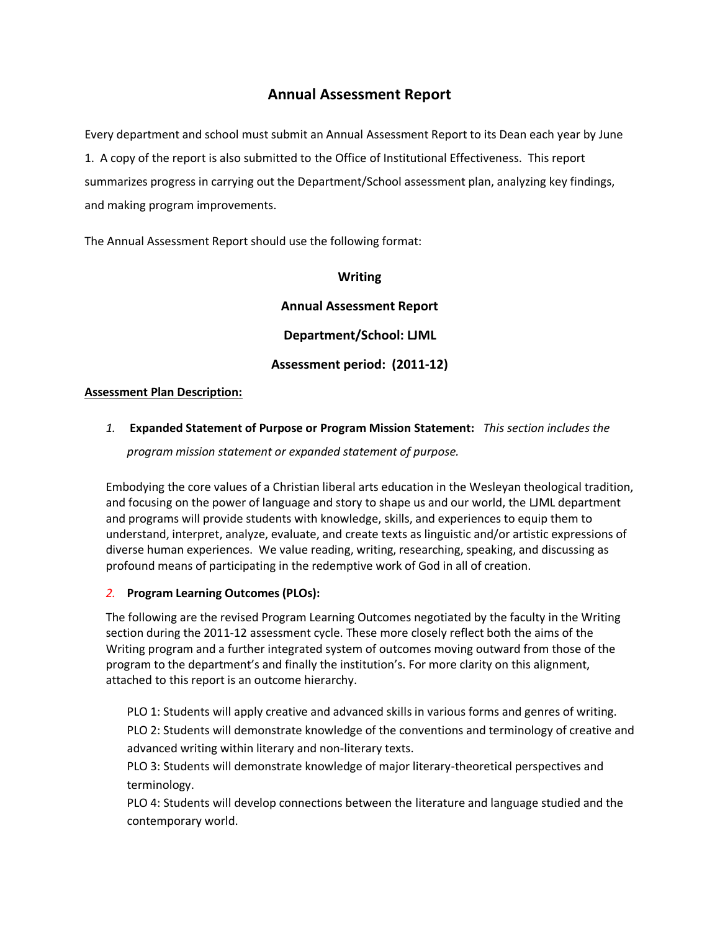# **Annual Assessment Report**

Every department and school must submit an Annual Assessment Report to its Dean each year by June 1. A copy of the report is also submitted to the Office of Institutional Effectiveness. This report summarizes progress in carrying out the Department/School assessment plan, analyzing key findings, and making program improvements.

The Annual Assessment Report should use the following format:

**Writing** 

**Annual Assessment Report Department/School: LJML Assessment period: (2011-12)**

### **Assessment Plan Description:**

## *1.* **Expanded Statement of Purpose or Program Mission Statement:** *This section includes the*

*program mission statement or expanded statement of purpose.* 

Embodying the core values of a Christian liberal arts education in the Wesleyan theological tradition, and focusing on the power of language and story to shape us and our world, the LJML department and programs will provide students with knowledge, skills, and experiences to equip them to understand, interpret, analyze, evaluate, and create texts as linguistic and/or artistic expressions of diverse human experiences. We value reading, writing, researching, speaking, and discussing as profound means of participating in the redemptive work of God in all of creation.

### *2.* **Program Learning Outcomes (PLOs):**

The following are the revised Program Learning Outcomes negotiated by the faculty in the Writing section during the 2011-12 assessment cycle. These more closely reflect both the aims of the Writing program and a further integrated system of outcomes moving outward from those of the program to the department's and finally the institution's. For more clarity on this alignment, attached to this report is an outcome hierarchy.

PLO 1: Students will apply creative and advanced skills in various forms and genres of writing.

PLO 2: Students will demonstrate knowledge of the conventions and terminology of creative and advanced writing within literary and non-literary texts.

PLO 3: Students will demonstrate knowledge of major literary-theoretical perspectives and terminology.

PLO 4: Students will develop connections between the literature and language studied and the contemporary world.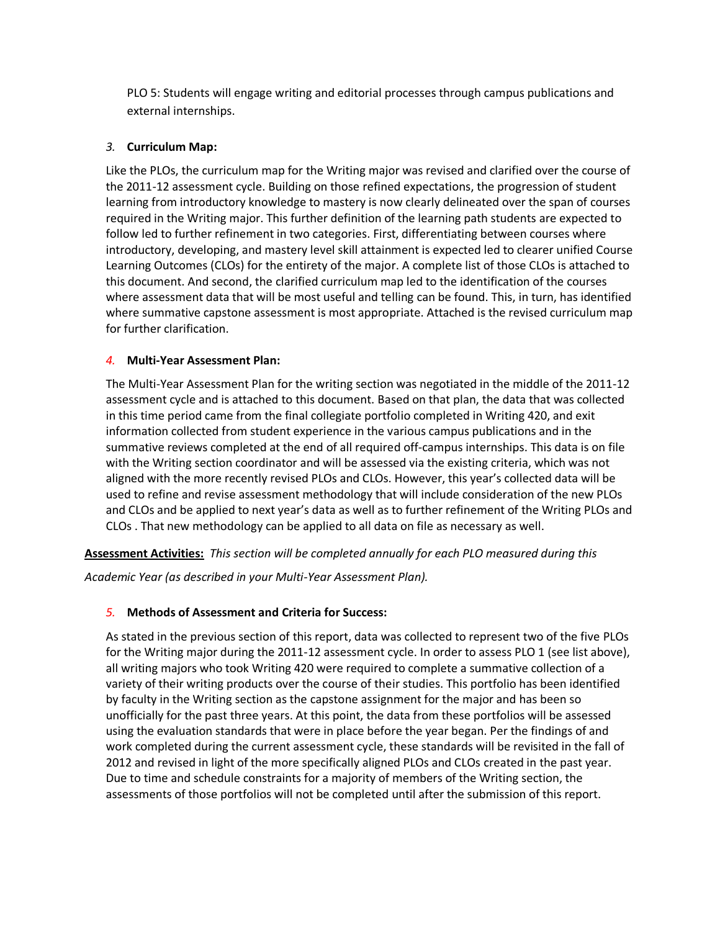PLO 5: Students will engage writing and editorial processes through campus publications and external internships.

## *3.* **Curriculum Map:**

Like the PLOs, the curriculum map for the Writing major was revised and clarified over the course of the 2011-12 assessment cycle. Building on those refined expectations, the progression of student learning from introductory knowledge to mastery is now clearly delineated over the span of courses required in the Writing major. This further definition of the learning path students are expected to follow led to further refinement in two categories. First, differentiating between courses where introductory, developing, and mastery level skill attainment is expected led to clearer unified Course Learning Outcomes (CLOs) for the entirety of the major. A complete list of those CLOs is attached to this document. And second, the clarified curriculum map led to the identification of the courses where assessment data that will be most useful and telling can be found. This, in turn, has identified where summative capstone assessment is most appropriate. Attached is the revised curriculum map for further clarification.

## *4.* **Multi-Year Assessment Plan:**

The Multi-Year Assessment Plan for the writing section was negotiated in the middle of the 2011-12 assessment cycle and is attached to this document. Based on that plan, the data that was collected in this time period came from the final collegiate portfolio completed in Writing 420, and exit information collected from student experience in the various campus publications and in the summative reviews completed at the end of all required off-campus internships. This data is on file with the Writing section coordinator and will be assessed via the existing criteria, which was not aligned with the more recently revised PLOs and CLOs. However, this year's collected data will be used to refine and revise assessment methodology that will include consideration of the new PLOs and CLOs and be applied to next year's data as well as to further refinement of the Writing PLOs and CLOs . That new methodology can be applied to all data on file as necessary as well.

**Assessment Activities:** *This section will be completed annually for each PLO measured during this* 

*Academic Year (as described in your Multi-Year Assessment Plan).* 

## *5.* **Methods of Assessment and Criteria for Success:**

As stated in the previous section of this report, data was collected to represent two of the five PLOs for the Writing major during the 2011-12 assessment cycle. In order to assess PLO 1 (see list above), all writing majors who took Writing 420 were required to complete a summative collection of a variety of their writing products over the course of their studies. This portfolio has been identified by faculty in the Writing section as the capstone assignment for the major and has been so unofficially for the past three years. At this point, the data from these portfolios will be assessed using the evaluation standards that were in place before the year began. Per the findings of and work completed during the current assessment cycle, these standards will be revisited in the fall of 2012 and revised in light of the more specifically aligned PLOs and CLOs created in the past year. Due to time and schedule constraints for a majority of members of the Writing section, the assessments of those portfolios will not be completed until after the submission of this report.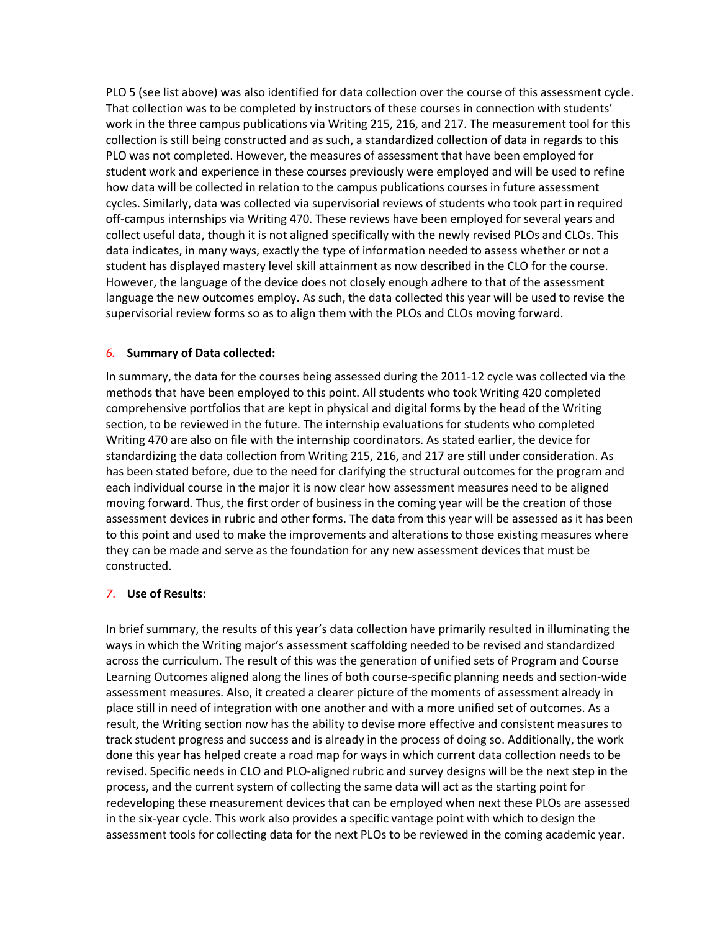PLO 5 (see list above) was also identified for data collection over the course of this assessment cycle. That collection was to be completed by instructors of these courses in connection with students' work in the three campus publications via Writing 215, 216, and 217. The measurement tool for this collection is still being constructed and as such, a standardized collection of data in regards to this PLO was not completed. However, the measures of assessment that have been employed for student work and experience in these courses previously were employed and will be used to refine how data will be collected in relation to the campus publications courses in future assessment cycles. Similarly, data was collected via supervisorial reviews of students who took part in required off-campus internships via Writing 470. These reviews have been employed for several years and collect useful data, though it is not aligned specifically with the newly revised PLOs and CLOs. This data indicates, in many ways, exactly the type of information needed to assess whether or not a student has displayed mastery level skill attainment as now described in the CLO for the course. However, the language of the device does not closely enough adhere to that of the assessment language the new outcomes employ. As such, the data collected this year will be used to revise the supervisorial review forms so as to align them with the PLOs and CLOs moving forward.

### *6.* **Summary of Data collected:**

In summary, the data for the courses being assessed during the 2011-12 cycle was collected via the methods that have been employed to this point. All students who took Writing 420 completed comprehensive portfolios that are kept in physical and digital forms by the head of the Writing section, to be reviewed in the future. The internship evaluations for students who completed Writing 470 are also on file with the internship coordinators. As stated earlier, the device for standardizing the data collection from Writing 215, 216, and 217 are still under consideration. As has been stated before, due to the need for clarifying the structural outcomes for the program and each individual course in the major it is now clear how assessment measures need to be aligned moving forward. Thus, the first order of business in the coming year will be the creation of those assessment devices in rubric and other forms. The data from this year will be assessed as it has been to this point and used to make the improvements and alterations to those existing measures where they can be made and serve as the foundation for any new assessment devices that must be constructed.

### *7*. **Use of Results:**

In brief summary, the results of this year's data collection have primarily resulted in illuminating the ways in which the Writing major's assessment scaffolding needed to be revised and standardized across the curriculum. The result of this was the generation of unified sets of Program and Course Learning Outcomes aligned along the lines of both course-specific planning needs and section-wide assessment measures. Also, it created a clearer picture of the moments of assessment already in place still in need of integration with one another and with a more unified set of outcomes. As a result, the Writing section now has the ability to devise more effective and consistent measures to track student progress and success and is already in the process of doing so. Additionally, the work done this year has helped create a road map for ways in which current data collection needs to be revised. Specific needs in CLO and PLO-aligned rubric and survey designs will be the next step in the process, and the current system of collecting the same data will act as the starting point for redeveloping these measurement devices that can be employed when next these PLOs are assessed in the six-year cycle. This work also provides a specific vantage point with which to design the assessment tools for collecting data for the next PLOs to be reviewed in the coming academic year.